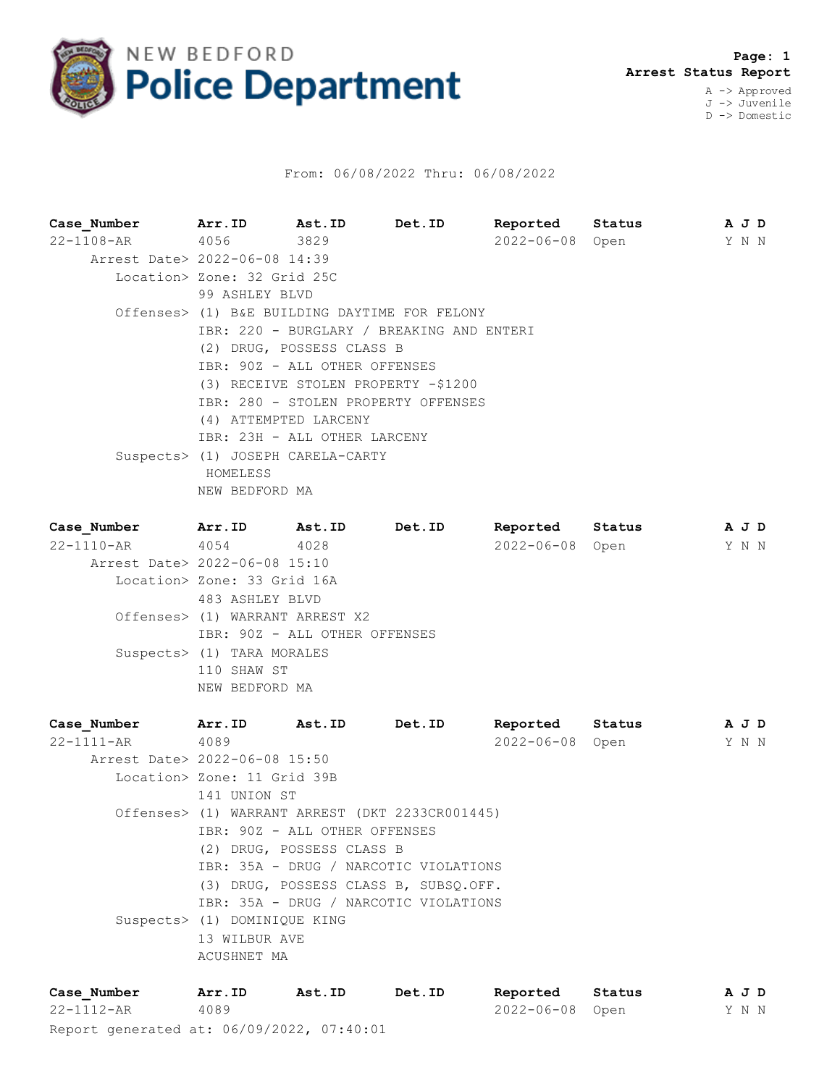

## From: 06/08/2022 Thru: 06/08/2022

| Case Number                   | Arr.ID                                    | Ast.ID                            | Det.ID                                        | Reported         | Status | A J D |  |  |  |  |  |
|-------------------------------|-------------------------------------------|-----------------------------------|-----------------------------------------------|------------------|--------|-------|--|--|--|--|--|
| $22 - 1108 - AR$              | 4056                                      | 3829                              |                                               | 2022-06-08 Open  |        | Y N N |  |  |  |  |  |
| Arrest Date> 2022-06-08 14:39 |                                           |                                   |                                               |                  |        |       |  |  |  |  |  |
|                               |                                           | Location> Zone: 32 Grid 25C       |                                               |                  |        |       |  |  |  |  |  |
|                               | 99 ASHLEY BLVD                            |                                   |                                               |                  |        |       |  |  |  |  |  |
|                               |                                           |                                   | Offenses> (1) B&E BUILDING DAYTIME FOR FELONY |                  |        |       |  |  |  |  |  |
|                               | IBR: 220 - BURGLARY / BREAKING AND ENTERI |                                   |                                               |                  |        |       |  |  |  |  |  |
|                               |                                           | (2) DRUG, POSSESS CLASS B         |                                               |                  |        |       |  |  |  |  |  |
|                               | IBR: 90Z - ALL OTHER OFFENSES             |                                   |                                               |                  |        |       |  |  |  |  |  |
|                               | (3) RECEIVE STOLEN PROPERTY -\$1200       |                                   |                                               |                  |        |       |  |  |  |  |  |
|                               | IBR: 280 - STOLEN PROPERTY OFFENSES       |                                   |                                               |                  |        |       |  |  |  |  |  |
|                               | (4) ATTEMPTED LARCENY                     |                                   |                                               |                  |        |       |  |  |  |  |  |
|                               | IBR: 23H - ALL OTHER LARCENY              |                                   |                                               |                  |        |       |  |  |  |  |  |
|                               |                                           | Suspects> (1) JOSEPH CARELA-CARTY |                                               |                  |        |       |  |  |  |  |  |
|                               | HOMELESS                                  |                                   |                                               |                  |        |       |  |  |  |  |  |
|                               | NEW BEDFORD MA                            |                                   |                                               |                  |        |       |  |  |  |  |  |
| Case Number                   | Arr.ID                                    | Ast.ID                            | Det.ID                                        | Reported         | Status | A J D |  |  |  |  |  |
| $22 - 1110 - AR$              | 4054                                      | 4028                              |                                               | $2022 - 06 - 08$ | Open   | Y N N |  |  |  |  |  |
|                               |                                           |                                   |                                               |                  |        |       |  |  |  |  |  |

 Arrest Date> 2022-06-08 15:10 Location> Zone: 33 Grid 16A 483 ASHLEY BLVD Offenses> (1) WARRANT ARREST X2 IBR: 90Z - ALL OTHER OFFENSES Suspects> (1) TARA MORALES 110 SHAW ST NEW BEDFORD MA

| Case Number                   | Arr.ID                       | <b>Ast.ID</b>                 | Det.ID                                          | Reported        | Status |  | A J D |  |  |  |
|-------------------------------|------------------------------|-------------------------------|-------------------------------------------------|-----------------|--------|--|-------|--|--|--|
| 22-1111-AR                    | 4089                         |                               |                                                 | 2022-06-08 Open |        |  | Y N N |  |  |  |
| Arrest Date> 2022-06-08 15:50 |                              |                               |                                                 |                 |        |  |       |  |  |  |
|                               | Location> Zone: 11 Grid 39B  |                               |                                                 |                 |        |  |       |  |  |  |
|                               |                              | 141 UNION ST                  |                                                 |                 |        |  |       |  |  |  |
|                               |                              |                               | Offenses> (1) WARRANT ARREST (DKT 2233CR001445) |                 |        |  |       |  |  |  |
|                               |                              | IBR: 90Z - ALL OTHER OFFENSES |                                                 |                 |        |  |       |  |  |  |
|                               |                              | (2) DRUG, POSSESS CLASS B     |                                                 |                 |        |  |       |  |  |  |
|                               |                              |                               | IBR: 35A - DRUG / NARCOTIC VIOLATIONS           |                 |        |  |       |  |  |  |
|                               |                              |                               | (3) DRUG, POSSESS CLASS B, SUBSO.OFF.           |                 |        |  |       |  |  |  |
|                               |                              |                               | IBR: 35A - DRUG / NARCOTIC VIOLATIONS           |                 |        |  |       |  |  |  |
|                               | Suspects> (1) DOMINIQUE KING |                               |                                                 |                 |        |  |       |  |  |  |
|                               | 13 WILBUR AVE                |                               |                                                 |                 |        |  |       |  |  |  |
|                               | ACUSHNET MA                  |                               |                                                 |                 |        |  |       |  |  |  |
|                               |                              |                               |                                                 |                 |        |  |       |  |  |  |

Report generated at: 06/09/2022, 07:40:01 **Case\_Number Arr.ID Ast.ID Det.ID Reported Status A J D** 22-1112-AR 4089 2022-06-08 Open Y N N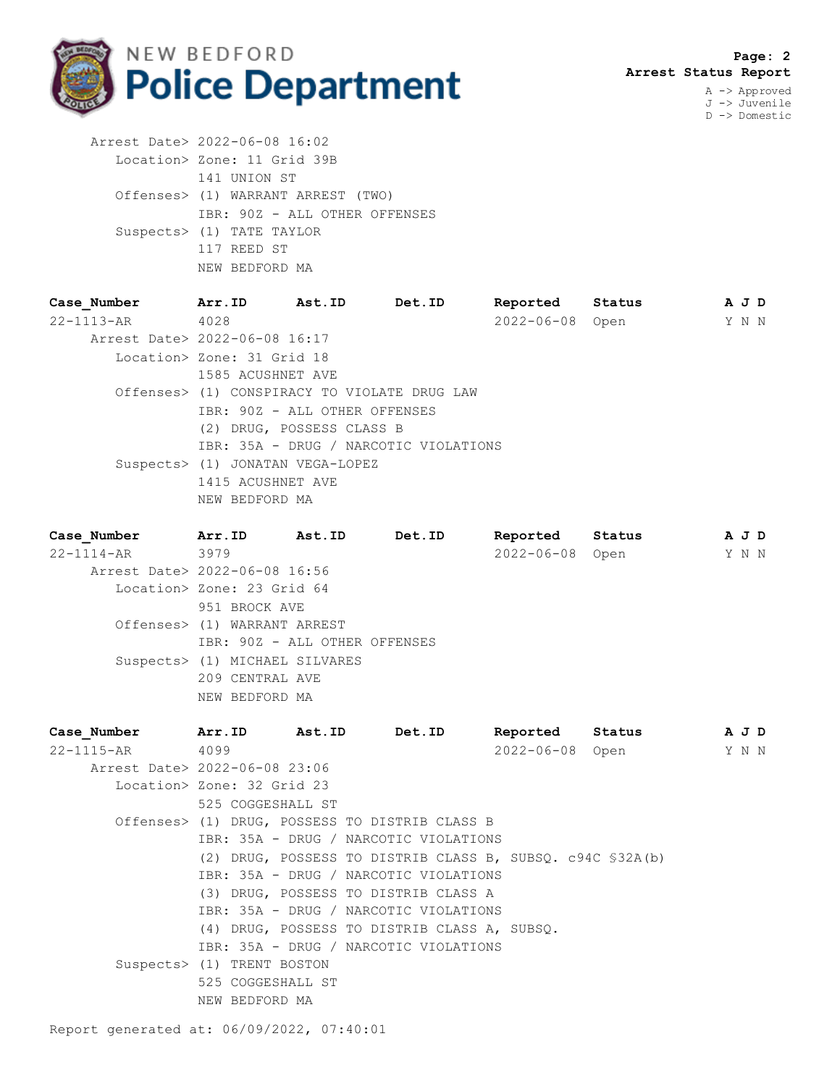

J -> Juvenile D -> Domestic

 Arrest Date> 2022-06-08 16:02 Location> Zone: 11 Grid 39B 141 UNION ST Offenses> (1) WARRANT ARREST (TWO) IBR: 90Z - ALL OTHER OFFENSES Suspects> (1) TATE TAYLOR 117 REED ST NEW BEDFORD MA

| Case Number                   | Arr.ID                                       | Ast.ID                        | Det.ID                                | Reported        | Status | A J D |  |
|-------------------------------|----------------------------------------------|-------------------------------|---------------------------------------|-----------------|--------|-------|--|
| $22 - 1113 - AR$              | 4028                                         |                               |                                       | 2022-06-08 Open |        | Y N N |  |
| Arrest Date> 2022-06-08 16:17 |                                              |                               |                                       |                 |        |       |  |
|                               | Location> Zone: 31 Grid 18                   |                               |                                       |                 |        |       |  |
|                               | 1585 ACUSHNET AVE                            |                               |                                       |                 |        |       |  |
|                               | Offenses> (1) CONSPIRACY TO VIOLATE DRUG LAW |                               |                                       |                 |        |       |  |
|                               |                                              | IBR: 90Z - ALL OTHER OFFENSES |                                       |                 |        |       |  |
|                               | (2) DRUG, POSSESS CLASS B                    |                               |                                       |                 |        |       |  |
|                               |                                              |                               | IBR: 35A - DRUG / NARCOTIC VIOLATIONS |                 |        |       |  |
|                               | Suspects> (1) JONATAN VEGA-LOPEZ             |                               |                                       |                 |        |       |  |
|                               | 1415 ACUSHNET AVE                            |                               |                                       |                 |        |       |  |
|                               | NEW BEDFORD MA                               |                               |                                       |                 |        |       |  |
|                               |                                              |                               |                                       |                 |        |       |  |

**Case\_Number Arr.ID Ast.ID Det.ID Reported Status A J D** 22-1114-AR 3979 2022-06-08 Open Y N N Arrest Date> 2022-06-08 16:56 Location> Zone: 23 Grid 64 951 BROCK AVE Offenses> (1) WARRANT ARREST IBR: 90Z - ALL OTHER OFFENSES Suspects> (1) MICHAEL SILVARES 209 CENTRAL AVE NEW BEDFORD MA

| Case Number | Arr.ID<br>Ast.ID              | Det.ID                                                     | Reported        | Status | A J D |  |
|-------------|-------------------------------|------------------------------------------------------------|-----------------|--------|-------|--|
| 22-1115-AR  | 4099                          |                                                            | 2022-06-08 Open |        | Y N N |  |
|             | Arrest Date> 2022-06-08 23:06 |                                                            |                 |        |       |  |
|             | Location> Zone: 32 Grid 23    |                                                            |                 |        |       |  |
|             | 525 COGGESHALL ST             |                                                            |                 |        |       |  |
|             |                               | Offenses> (1) DRUG, POSSESS TO DISTRIB CLASS B             |                 |        |       |  |
|             |                               | IBR: 35A - DRUG / NARCOTIC VIOLATIONS                      |                 |        |       |  |
|             |                               | (2) DRUG, POSSESS TO DISTRIB CLASS B, SUBSO. c94C \$32A(b) |                 |        |       |  |
|             |                               | IBR: 35A - DRUG / NARCOTIC VIOLATIONS                      |                 |        |       |  |
|             |                               | (3) DRUG, POSSESS TO DISTRIB CLASS A                       |                 |        |       |  |
|             |                               | IBR: 35A - DRUG / NARCOTIC VIOLATIONS                      |                 |        |       |  |
|             |                               | (4) DRUG, POSSESS TO DISTRIB CLASS A, SUBSQ.               |                 |        |       |  |
|             |                               | IBR: 35A - DRUG / NARCOTIC VIOLATIONS                      |                 |        |       |  |
|             | Suspects> (1) TRENT BOSTON    |                                                            |                 |        |       |  |
|             | 525 COGGESHALL ST             |                                                            |                 |        |       |  |
|             | NEW BEDFORD MA                |                                                            |                 |        |       |  |